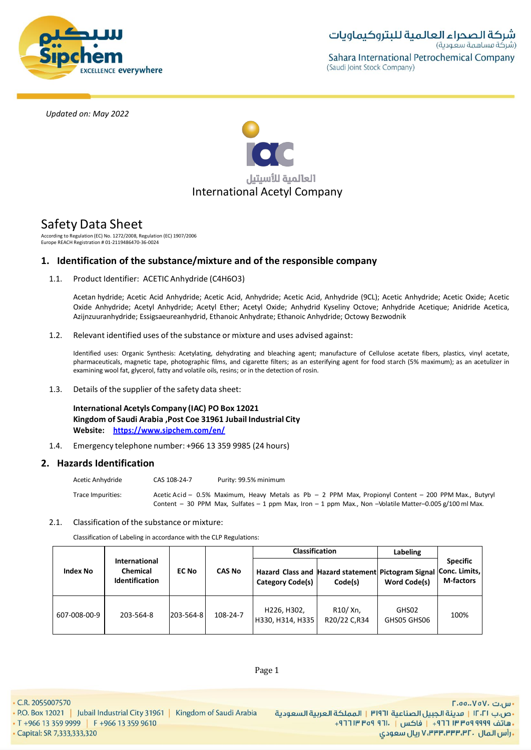



# Safety Data Sheet

According to Regulation (EC) No. 1272/2008, Regulation (EC) 1907/2006 Europe REACH Registration # 01-2119486470-36-0024

# **1. Identification of the substance/mixture and of the responsible company**

1.1. Product Identifier: ACETIC Anhydride (C4H6O3)

Acetan hydride; Acetic Acid Anhydride; Acetic Acid, Anhydride; Acetic Acid, Anhydride (9CL); Acetic Anhydride; Acetic Oxide; Acetic Oxide Anhydride; Acetyl Anhydride; Acetyl Ether; Acetyl Oxide; Anhydrid Kyseliny Octove; Anhydride Acetique; Anidride Acetica, Azijnzuuranhydride; Essigsaeureanhydrid, Ethanoic Anhydrate; Ethanoic Anhydride; Octowy Bezwodnik

1.2. Relevant identified uses of the substance or mixture and uses advised against:

Identified uses: Organic Synthesis: Acetylating, dehydrating and bleaching agent; manufacture of Cellulose acetate fibers, plastics, vinyl acetate. pharmaceuticals, magnetic tape, photographic films, and cigarette filters; as an esterifying agent for food starch (5% maximum); as an acetulizer in examining wool fat, glycerol, fatty and volatile oils, resins; or in the detection of rosin.

1.3. Details of the supplier of the safety data sheet:

**International Acetyls Company (IAC) PO Box 12021 Kingdom of Saudi Arabia ,Post Coe 31961 Jubail Industrial City Website: https://www.sipchem.com/en/**

1.4. Emergency telephone number: +966 13 359 9985 (24 hours)

# **2. Hazards Identification**

| Acetic Anhydride  | CAS 108-24-7 | Purity: 99.5% minimum                                                                                      |
|-------------------|--------------|------------------------------------------------------------------------------------------------------------|
| Trace Impurities: |              | Acetic Acid - $0.5\%$ Maximum, Heavy Metals as Pb - 2 PPM Max, Propionyl Content - 200 PPM Max., Butyry    |
|                   |              | Content - 30 PPM Max, Sulfates - 1 ppm Max, Iron - 1 ppm Max., Non - Volatile Matter-0.005 $g/100$ ml Max. |

#### 2.1. Classification of the substance or mixture:

Classification of Labeling in accordance with the CLP Regulations:

|                 |                                                                  | <b>EC No</b> | <b>CAS No</b> | <b>Classification</b>                                                                |                                      | Labeling             |                                     |
|-----------------|------------------------------------------------------------------|--------------|---------------|--------------------------------------------------------------------------------------|--------------------------------------|----------------------|-------------------------------------|
| <b>Index No</b> | <b>International</b><br><b>Chemical</b><br><b>Identification</b> |              |               | Hazard Class and Hazard statement Pictogram Signal Conc. Limits,<br>Category Code(s) | Code(s)                              | <b>Word Code(s)</b>  | <b>Specific</b><br><b>M-factors</b> |
| 607-008-00-9    | 203-564-8                                                        | 203-564-8    | 108-24-7      | H226, H302,<br>H330, H314, H335                                                      | R <sub>10</sub> /Xn,<br>R20/22 C,R34 | GHS02<br>GHS05 GHS06 | 100%                                |

. C.R. 2055007570

- P.O. Box 12021 | Jubail Industrial City 31961 | Kingdom of Saudi Arabia
- T +966 13 359 9999 | F +966 13 359 9610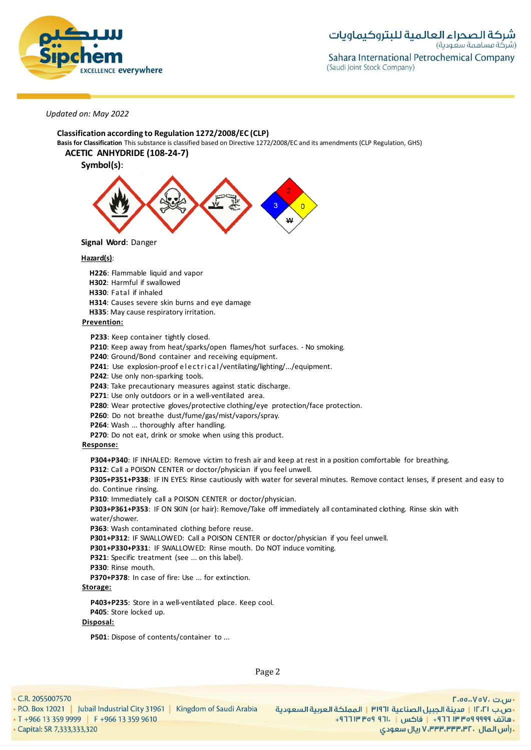

**Classification according to Regulation 1272/2008/EC (CLP) Basis for Classification** This substance is classified based on Directive 1272/2008/EC and its amendments (CLP Regulation, GHS)

# **ACETIC ANHYDRIDE (108-24-7)**

**Symbol(s)**:



**Signal Word**: Danger

#### **Hazard(s)**:

**H226**: Flammable liquid and vapor

**H302**: Harmful if swallowed

**H330**: Fatal if inhaled

**H314**: Causes severe skin burns and eye damage

**H335**: May cause respiratory irritation.

# **Prevention:**

**P233**: Keep container tightly closed.

**P210**: Keep away from heat/sparks/open flames/hot surfaces. - No smoking.

**P240**: Ground/Bond container and receiving equipment.

**P241:** Use explosion-proof electrical/ventilating/lighting/.../equipment.

**P242**: Use only non-sparking tools.

**P243**: Take precautionary measures against static discharge.

**P271**: Use only outdoors or in a well-ventilated area.

**P280**: Wear protective gloves/protective clothing/eye protection/face protection.

**P260**: Do not breathe dust/fume/gas/mist/vapors/spray.

**P264**: Wash ... thoroughly after handling.

**P270**: Do not eat, drink or smoke when using this product.

# **Response:**

**P304+P340**: IF INHALED: Remove victim to fresh air and keep at rest in a position comfortable for breathing. **P312**: Call a POISON CENTER or doctor/physician if you feel unwell.

**P305+P351+P338**: IF IN EYES: Rinse cautiously with water for several minutes. Remove contact lenses, if present and easy to do. Continue rinsing.

**P310**: Immediately call a POISON CENTER or doctor/physician.

**P303+P361+P353**: IF ON SKIN (or hair): Remove/Take off immediately all contaminated clothing. Rinse skin with water/shower.

P363: Wash contaminated clothing before reuse.

**P301+P312**: IF SWALLOWED: Call a POISON CENTER or doctor/physician if you feel unwell.

**P301+P330+P331**: IF SWALLOWED: Rinse mouth. Do NOT induce vomiting.

- P321: Specific treatment (see ... on this label).
- **P330**: Rinse mouth.

**P370+P378**: In case of fire: Use ... for extinction.

# **Storage:**

**P403+P235**: Store in a well-ventilated place. Keep cool. **P405**: Store locked up.

#### **Disposal:**

**P501**: Dispose of contents/container to ...

Page 2

 $\cdot$  C.R. 2055007570

• P.O. Box 12021 | Jubail Industrial City 31961 | Kingdom of Saudi Arabia • T +966 13 359 9999 | F +966 13 359 9610 Capital: SR 7,333,333,320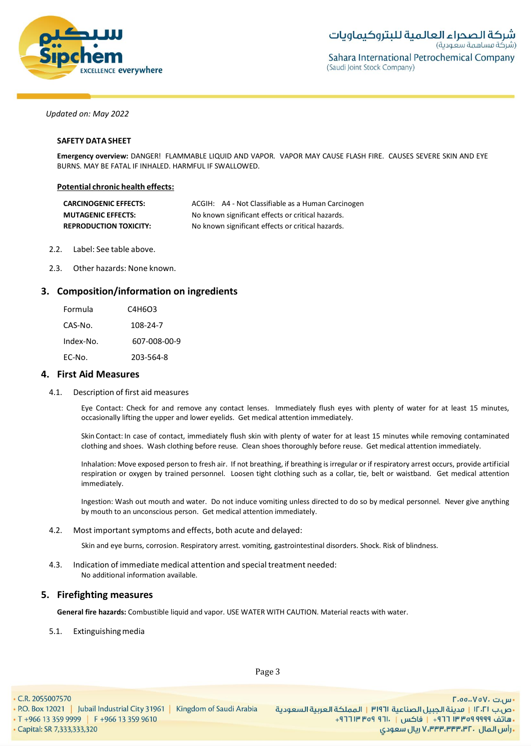

### **SAFETY DATA SHEET**

**Emergency overview:** DANGER! FLAMMABLE LIQUID AND VAPOR. VAPOR MAY CAUSE FLASH FIRE. CAUSES SEVERE SKIN AND EYE BURNS. MAY BE FATAL IF INHALED. HARMFUL IF SWALLOWED.

### **Potential chronic health effects:**

| <b>CARCINOGENIC EFFECTS:</b>  | ACGIH: A4 - Not Classifiable as a Human Carcinogen |  |
|-------------------------------|----------------------------------------------------|--|
| <b>MUTAGENIC EFFECTS:</b>     | No known significant effects or critical hazards.  |  |
| <b>REPRODUCTION TOXICITY:</b> | No known significant effects or critical hazards.  |  |

- 2.2. Label: See table above.
- 2.3. Other hazards: None known.

# **3. Composition/information on ingredients**

| Formula   | C4H6O3       |
|-----------|--------------|
| CAS-No.   | 108-24-7     |
| Index-No. | 607-008-00-9 |
| EC-No.    | 203-564-8    |

### **4. First Aid Measures**

4.1. Description of first aid measures

Eye Contact: Check for and remove any contact lenses. Immediately flush eyes with plenty of water for at least 15 minutes, occasionally lifting the upper and lower eyelids. Get medical attention immediately.

Skin Contact: In case of contact, immediately flush skin with plenty of water for at least 15 minutes while removing contaminated clothing and shoes. Wash clothing before reuse. Clean shoes thoroughly before reuse. Get medical attention immediately.

Inhalation: Move exposed person to fresh air. If not breathing, if breathing is irregular or if respiratory arrest occurs, provide artificial respiration or oxygen by trained personnel. Loosen tight clothing such as a collar, tie, belt or waistband. Get medical attention immediately.

Ingestion: Wash out mouth and water. Do not induce vomiting unless directed to do so by medical personnel. Never give anything by mouth to an unconscious person. Get medical attention immediately.

#### 4.2. Most important symptoms and effects, both acute and delayed:

Skin and eye burns, corrosion. Respiratory arrest. vomiting, gastrointestinal disorders. Shock. Risk of blindness.

4.3. Indication of immediate medical attention and special treatment needed: No additional information available.

# **5. Firefighting measures**

**General fire hazards:** Combustible liquid and vapor. USE WATER WITH CAUTION. Material reacts with water.

### 5.1. Extinguishingmedia

• T +966 13 359 9999 | F +966 13 359 9610

• P.O. Box 12021 | Jubail Industrial City 31961 | Kingdom of Saudi Arabia

Page 3

Capital: SR 7,333,333,320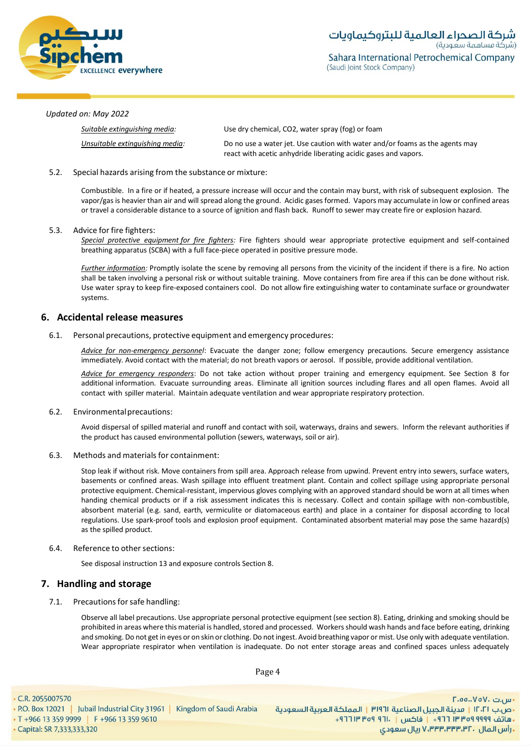

| Suitable extinauishina media:   | Use dry chemical, CO2, water spray (fog) or foam                                                                                                |
|---------------------------------|-------------------------------------------------------------------------------------------------------------------------------------------------|
| Unsuitable extinguishing media: | Do no use a water jet. Use caution with water and/or foams as the agents may<br>react with acetic anhydride liberating acidic gases and vapors. |

### 5.2. Special hazards arising from the substance or mixture:

Combustible. In a fire or if heated, a pressure increase will occur and the contain may burst, with risk of subsequent explosion. The vapor/gas is heavier than air and will spread along the ground. Acidic gases formed. Vapors may accumulate in low or confined areas or travel a considerable distance to a source of ignition and flash back. Runoff to sewer may create fire or explosion hazard.

### 5.3. Advice for fire fighters:

*Special protective equipment for fire fighters:* Fire fighters should wear appropriate protective equipment and self-contained breathing apparatus (SCBA) with a full face-piece operated in positive pressure mode.

*Further information:* Promptly isolate the scene by removing all persons from the vicinity of the incident if there is a fire. No action shall be taken involving a personal risk or without suitable training. Move containers from fire area if this can be done without risk. Use water spray to keep fire-exposed containers cool. Do not allow fire extinguishing water to contaminate surface or groundwater systems.

# **6. Accidental release measures**

#### 6.1. Personal precautions, protective equipment and emergency procedures:

*Advice for non-emergency personnel*: Evacuate the danger zone; follow emergency precautions. Secure emergency assistance immediately. Avoid contact with the material; do not breath vapors or aerosol. If possible, provide additional ventilation.

*Advice for emergency responders*: Do not take action without proper training and emergency equipment. See Section 8 for additional information. Evacuate surrounding areas. Eliminate all ignition sources including flares and all open flames. Avoid all contact with spiller material. Maintain adequate ventilation and wear appropriate respiratory protection.

#### 6.2. Environmentalprecautions:

Avoid dispersal of spilled material and runoff and contact with soil, waterways, drains and sewers. Inform the relevant authorities if the product has caused environmental pollution (sewers, waterways, soil or air).

#### 6.3. Methods and materials for containment:

Stop leak if without risk. Move containers from spill area. Approach release from upwind. Prevent entry into sewers, surface waters, basements or confined areas. Wash spillage into effluent treatment plant. Contain and collect spillage using appropriate personal protective equipment. Chemical-resistant, impervious gloves complying with an approved standard should be worn at all times when handing chemical products or if a risk assessment indicates this is necessary. Collect and contain spillage with non-combustible, absorbent material (e.g. sand, earth, vermiculite or diatomaceous earth) and place in a container for disposal according to local regulations. Use spark-proof tools and explosion proof equipment. Contaminated absorbent material may pose the same hazard(s) as the spilled product.

# 6.4. Reference to other sections:

See disposal instruction 13 and exposure controls Section 8.

# **7. Handling and storage**

7.1. Precautions for safe handling:

Observe all label precautions. Use appropriate personal protective equipment (see section 8). Eating, drinking and smoking should be prohibited in areas where this material is handled, stored and processed. Workers should wash hands and face before eating, drinking and smoking. Do not get in eyes or on skin or clothing. Do not ingest. Avoid breathing vapor or mist. Use only with adequate ventilation. Wear appropriate respirator when ventilation is inadequate. Do not enter storage areas and confined spaces unless adequately

Page 4

Capital: SR 7,333,333,320

• T +966 13 359 9999 | F +966 13 359 9610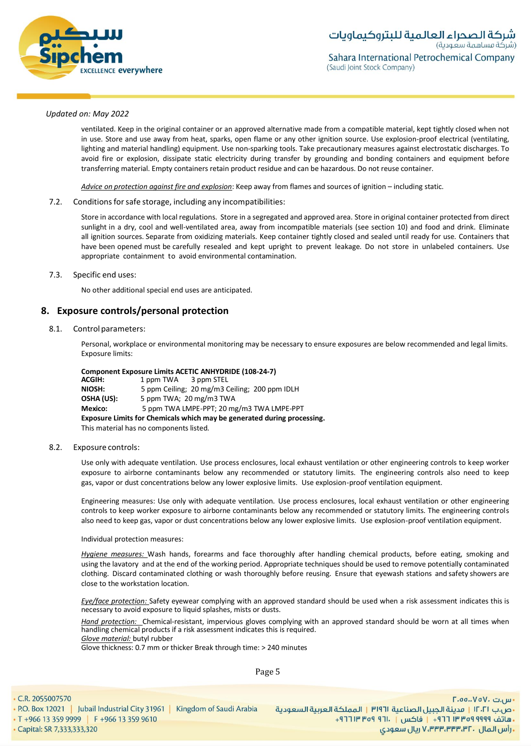

ventilated. Keep in the original container or an approved alternative made from a compatible material, kept tightly closed when not in use. Store and use away from heat, sparks, open flame or any other ignition source. Use explosion-proof electrical (ventilating, lighting and material handling) equipment. Use non-sparking tools. Take precautionary measures against electrostatic discharges. To avoid fire or explosion, dissipate static electricity during transfer by grounding and bonding containers and equipment before transferring material. Empty containers retain product residue and can be hazardous. Do not reuse container.

*Advice on protection against fire and explosion*: Keep away from flames and sources of ignition – including static.

#### 7.2. Conditions for safe storage, including any incompatibilities:

Store in accordance with local regulations. Store in a segregated and approved area. Store in original container protected from direct sunlight in a dry, cool and well-ventilated area, away from incompatible materials (see section 10) and food and drink. Eliminate all ignition sources. Separate from oxidizing materials. Keep container tightly closed and sealed until ready for use. Containers that have been opened must be carefully resealed and kept upright to prevent leakage. Do not store in unlabeled containers. Use appropriate containment to avoid environmental contamination.

#### 7.3. Specific end uses:

No other additional special end uses are anticipated.

### **8. Exposure controls/personal protection**

#### 8.1. Control parameters:

Personal, workplace or environmental monitoring may be necessary to ensure exposures are below recommended and legal limits. Exposure limits:

# **Component Exposure Limits ACETIC ANHYDRIDE (108-24-7)**<br>**ACGIH:** 1 pom TWA 3 pom STEL

**ACGIH:** 1 ppm TWA 3 ppm STEL<br>**NIOSH:** 5 ppm Ceiling: 20 mg/m3 0 5 ppm Ceiling; 20 mg/m3 Ceiling; 200 ppm IDLH **OSHA (US):** 5 ppm TWA; 20 mg/m3 TWA **Mexico:** 5 ppm TWA LMPE-PPT; 20 mg/m3 TWA LMPE-PPT **Exposure Limits for Chemicals which may be generated during processing.** This material has no components listed.

#### 8.2. Exposure controls:

Use only with adequate ventilation. Use process enclosures, local exhaust ventilation or other engineering controls to keep worker exposure to airborne contaminants below any recommended or statutory limits. The engineering controls also need to keep gas, vapor or dust concentrations below any lower explosive limits. Use explosion-proof ventilation equipment.

Engineering measures: Use only with adequate ventilation. Use process enclosures, local exhaust ventilation or other engineering controls to keep worker exposure to airborne contaminants below any recommended or statutory limits. The engineering controls also need to keep gas, vapor or dust concentrations below any lower explosive limits. Use explosion-proof ventilation equipment.

#### Individual protection measures:

*Hygiene measures:* Wash hands, forearms and face thoroughly after handling chemical products, before eating, smoking and using the lavatory and at the end of the working period. Appropriate techniques should be used to remove potentially contaminated clothing. Discard contaminated clothing or wash thoroughly before reusing. Ensure that eyewash stations and safety showers are close to the workstation location*.*

*Eye/face protection:* Safety eyewear complying with an approved standard should be used when a risk assessment indicates this is necessary to avoid exposure to liquid splashes, mists or dusts.

*Hand protection:* Chemical-resistant, impervious gloves complying with an approved standard should be worn at all times when handling chemical products if a risk assessment indicates this is required. *Glove material:* butyl rubber

Glove thickness: 0.7 mm or thicker Break through time: > 240 minutes

Page 5

 $\cdot$  C.R. 2055007570

• P.O. Box 12021 | Jubail Industrial City 31961 | Kingdom of Saudi Arabia • T +966 13 359 9999 | F +966 13 359 9610

Capital: SR 7,333,333,320

- س.ت ۷۵۷٬۰۰۵.D۰۰ •ص.ب ١٢٠٢١ | مدينة الجبيل الصناعية ١٣١٩٦ | المملكة العربية السعودية ـ هاتف ٩٩٩٩ ٩٥٩ ٣٣ ٣٦٦ - إ فاكس | . ١٦٦ ٩٥٩ ١٣ ١٣٦٢ -زارس المال ، ۷٬۳۳۳٬۳۳۳٬۳۲ ریال سعودی V،۳۳۳٬۳۳۳٬۳۲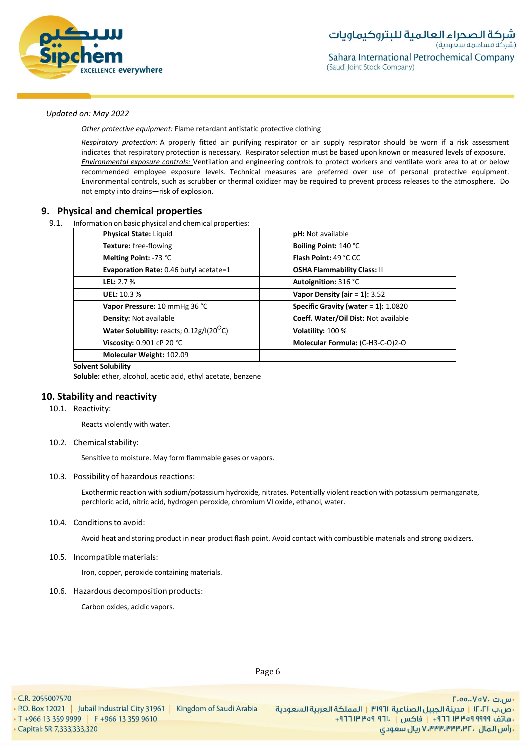

*Other protective equipment:* Flame retardant antistatic protective clothing

*Respiratory protection:* A properly fitted air purifying respirator or air supply respirator should be worn if a risk assessment indicates that respiratory protection is necessary. Respirator selection must be based upon known or measured levels of exposure. *Environmental exposure controls:* Ventilation and engineering controls to protect workers and ventilate work area to at or below recommended employee exposure levels. Technical measures are preferred over use of personal protective equipment. Environmental controls, such as scrubber or thermal oxidizer may be required to prevent process releases to the atmosphere. Do not empty into drains—risk of explosion.

# **9. Physical and chemical properties**

9.1. Information on basic physical and chemical properties:

| <b>Physical State: Liquid</b>                        | <b>pH:</b> Not available                |
|------------------------------------------------------|-----------------------------------------|
| Texture: free-flowing                                | Boiling Point: 140 °C                   |
| Melting Point: -73 °C                                | <b>Flash Point: 49 °C CC</b>            |
| Evaporation Rate: 0.46 butyl acetate=1               | <b>OSHA Flammability Class: II</b>      |
| <b>LEL: 2.7 %</b>                                    | Autoignition: 316 °C                    |
| UEL: 10.3%                                           | Vapor Density (air = $1$ ): 3.52        |
| Vapor Pressure: 10 mmHg 36 °C                        | Specific Gravity (water = $1$ ): 1.0820 |
| Density: Not available                               | Coeff. Water/Oil Dist: Not available    |
| Water Solubility: reacts; 0.12g/I(20 <sup>O</sup> C) | Volatility: 100 %                       |
| Viscosity: 0.901 cP 20 °C                            | Molecular Formula: (C-H3-C-O)2-O        |
| Molecular Weight: 102.09                             |                                         |

#### **Solvent Solubility**

Soluble: ether, alcohol, acetic acid, ethyl acetate, benzene

# **10. Stability and reactivity**

#### 10.1. Reactivity:

Reacts violently with water.

10.2. Chemical stability:

Sensitive to moisture. May form flammable gases or vapors.

#### 10.3. Possibility of hazardous reactions:

Exothermic reaction with sodium/potassium hydroxide, nitrates. Potentially violent reaction with potassium permanganate, perchloric acid, nitric acid, hydrogen peroxide, chromium VI oxide, ethanol, water.

### 10.4. Conditionsto avoid:

Avoid heat and storing product in near product flash point. Avoid contact with combustible materials and strong oxidizers.

#### 10.5. Incompatiblematerials:

Iron, copper, peroxide containing materials.

#### 10.6. Hazardous decomposition products:

Carbon oxides, acidic vapors.

Page 6

 $\cdot$  C.R. 2055007570

• P.O. Box 12021 | Jubail Industrial City 31961 | Kingdom of Saudi Arabia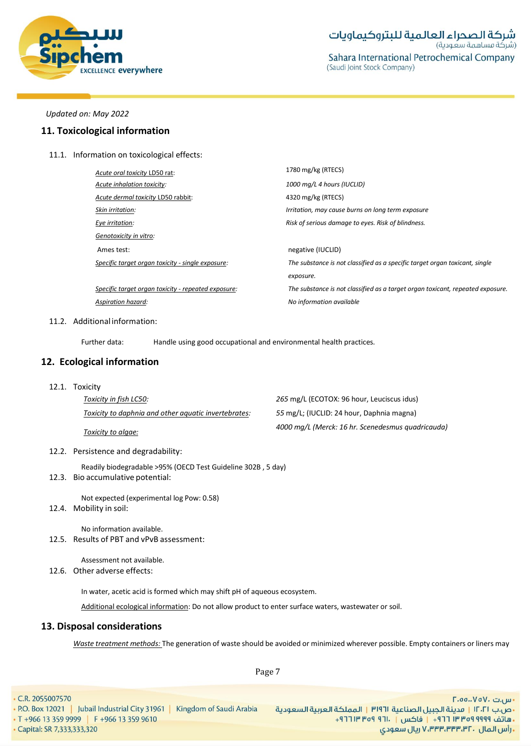

# **11. Toxicological information**

11.1. Information on toxicological effects:

| Acute oral toxicity LD50 rat:                       | 1780 mg/kg (RTECS)                                                             |
|-----------------------------------------------------|--------------------------------------------------------------------------------|
| Acute inhalation toxicity:                          | 1000 mg/L 4 hours (IUCLID)                                                     |
| Acute dermal toxicity LD50 rabbit:                  | 4320 mg/kg (RTECS)                                                             |
| Skin irritation:                                    | Irritation, may cause burns on long term exposure                              |
| Eye irritation:                                     | Risk of serious damage to eyes. Risk of blindness.                             |
| Genotoxicity in vitro:                              |                                                                                |
| Ames test:                                          | negative (IUCLID)                                                              |
| Specific target organ toxicity - single exposure:   | The substance is not classified as a specific target organ toxicant, single    |
|                                                     | exposure.                                                                      |
| Specific target organ toxicity - repeated exposure: | The substance is not classified as a target organ toxicant, repeated exposure. |
| Aspiration hazard:                                  | No information available                                                       |

#### 11.2. Additional information:

Further data: Handle using good occupational and environmental health practices.

# **12. Ecological information**

12.1. Toxicity

| Toxicity in fish LC50:                               | 265 mg/L (ECOTOX: 96 hour, Leuciscus idus)        |
|------------------------------------------------------|---------------------------------------------------|
| Toxicity to daphnia and other aquatic invertebrates: | 55 mg/L; (IUCLID: 24 hour, Daphnia magna)         |
| Toxicity to algae:                                   | 4000 mg/L (Merck: 16 hr. Scenedesmus quadricauda) |

12.2. Persistence and degradability:

Readily biodegradable >95% (OECD Test Guideline 302B , 5 day)

12.3. Bio accumulative potential:

Not expected (experimental log Pow: 0.58)

12.4. Mobility in soil:

No information available. 12.5. Results of PBT and vPvB assessment:

Assessment not available. 12.6. Other adverse effects:

In water, acetic acid is formed which may shift pH of aqueous ecosystem.

Additional ecological information: Do not allow product to enter surface waters, wastewater or soil.

# **13. Disposal considerations**

*Waste treatment methods:* The generation of waste should be avoided or minimized wherever possible. Empty containers or liners may

Page 7

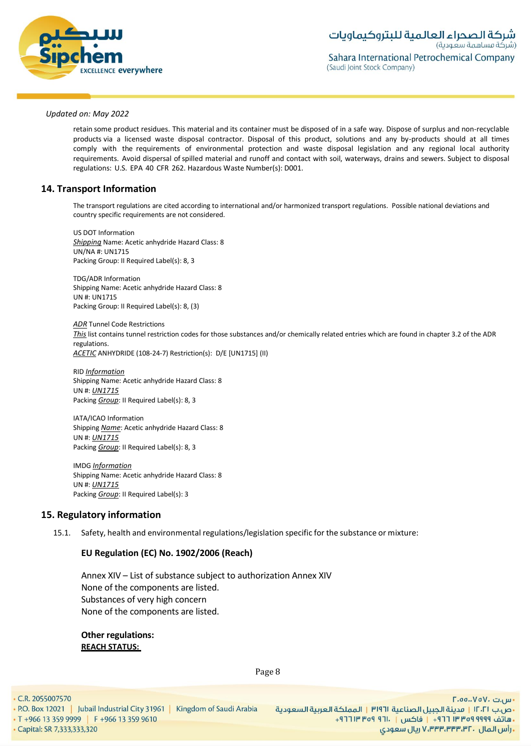

retain some product residues. This material and its container must be disposed of in a safe way. Dispose of surplus and non-recyclable products via a licensed waste disposal contractor. Disposal of this product, solutions and any by-products should at all times comply with the requirements of environmental protection and waste disposal legislation and any regional local authority requirements. Avoid dispersal of spilled material and runoff and contact with soil, waterways, drains and sewers. Subject to disposal regulations: U.S. EPA 40 CFR 262. Hazardous Waste Number(s): D001.

# **14. Transport Information**

The transport regulations are cited according to international and/or harmonized transport regulations. Possible national deviations and country specific requirements are not considered.

US DOT Information *Shipping* Name: Acetic anhydride Hazard Class: 8 UN/NA #: UN1715 Packing Group: II Required Label(s): 8, 3

TDG/ADR Information Shipping Name: Acetic anhydride Hazard Class: 8 UN #: UN1715 Packing Group: II Required Label(s): 8, (3)

*ADR* Tunnel Code Restrictions *This* list contains tunnel restriction codes for those substances and/or chemically related entries which are found in chapter 3.2 of the ADR regulations. *ACETIC* ANHYDRIDE (108-24-7) Restriction(s): D/E [UN1715] (II)

RID *Information* Shipping Name: Acetic anhydride Hazard Class: 8 UN #: *UN1715* Packing *Group*: II Required Label(s): 8, 3

IATA/ICAO Information Shipping *Name*: Acetic anhydride Hazard Class: 8 UN #: *UN1715* Packing *Group*: II Required Label(s): 8, 3

IMDG *Information* Shipping Name: Acetic anhydride Hazard Class: 8 UN #: *UN1715* Packing *Group*: II Required Label(s): 3

# **15. Regulatory information**

15.1. Safety, health and environmental regulations/legislation specific for the substance or mixture:

# **EU Regulation (EC) No. 1902/2006 (Reach)**

Annex XIV – List of substance subject to authorization Annex XIV None of the components are listed. Substances of very high concern None of the components are listed.

**Other regulations: REACH STATUS:**

Page 8

• C.R. 2055007570

• P.O. Box 12021 | Jubail Industrial City 31961 | Kingdom of Saudi Arabia • T +966 13 359 9999 | F +966 13 359 9610 Capital: SR 7,333,333,320

- س.ت ۷۵۷٬۰۰۵.D۰۰ •ص.ب ١٢٠٢١ | مدينة الجبيل الصناعية ١٣١٩٦ | المملكة العربية السعودية ـ هاتف ٩٩٩٩ ٩٩٩ ٣ ٣٣٣ ٢ ١٣ - إ فاكس | . ١٣ ٩ ٥٩ ١٣ ٣٦٢ + **. رأس المال ۷٬۳۳۳٬۳۳۳٬۳۲۰ ریال سعودی**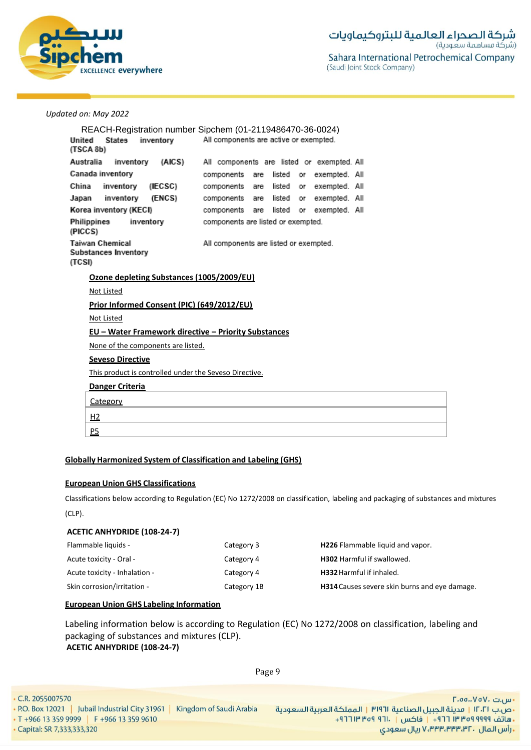

|                                                             | REACH-Registration number Sipchem (01-2119486470-36-0024)   |  |  |  |  |
|-------------------------------------------------------------|-------------------------------------------------------------|--|--|--|--|
| States inventory<br>Jnited<br>TSCA 8b)                      | All components are active or exempted.                      |  |  |  |  |
| Australia                                                   | inventory (AICS) All components are listed or exempted. All |  |  |  |  |
| Canada inventory                                            | components are listed or exempted. All                      |  |  |  |  |
| China<br>inventory<br>(IECSC)                               | components are listed or exempted. All                      |  |  |  |  |
| Japan inventory (ENCS)                                      | components are listed or exempted. All                      |  |  |  |  |
| Korea inventory (KECI)                                      | components are listed or exempted. All                      |  |  |  |  |
| Philippines<br>inventory<br>PICCS)                          | components are listed or exempted.                          |  |  |  |  |
| Taiwan Chemical<br>Substances Inventory<br>TCSI)            | All components are listed or exempted.                      |  |  |  |  |
| Ozone depleting Substances (1005/2009/EU)                   |                                                             |  |  |  |  |
| Not Listed                                                  |                                                             |  |  |  |  |
| Prior Informed Consent (PIC) (649/2012/EU)                  |                                                             |  |  |  |  |
| <b>Not Listed</b>                                           |                                                             |  |  |  |  |
| <b>EU - Water Framework directive - Priority Substances</b> |                                                             |  |  |  |  |
| None of the components are listed.                          |                                                             |  |  |  |  |
| <b>Seveso Directive</b>                                     |                                                             |  |  |  |  |
| This product is controlled under the Seveso Directive.      |                                                             |  |  |  |  |
| Danger Criteria                                             |                                                             |  |  |  |  |
| Category                                                    |                                                             |  |  |  |  |
| <u>н2</u>                                                   |                                                             |  |  |  |  |
| P <sub>5</sub>                                              |                                                             |  |  |  |  |
|                                                             |                                                             |  |  |  |  |

# **Globally Harmonized System of Classification and Labeling (GHS)**

# **European Union GHS Classifications**

Classifications below according to Regulation (EC) No 1272/2008 on classification, labeling and packaging of substances and mixtures (CLP).

# **ACETIC ANHYDRIDE (108-24-7)**

| Flammable liquids -           | Category 3  | H226 Flammable liquid and vapor.              |
|-------------------------------|-------------|-----------------------------------------------|
| Acute toxicity - Oral -       | Category 4  | <b>H302</b> Harmful if swallowed.             |
| Acute toxicity - Inhalation - | Category 4  | H332 Harmful if inhaled.                      |
| Skin corrosion/irritation -   | Category 1B | H314 Causes severe skin burns and eye damage. |

# **European Union GHS Labeling Information**

Labeling information below is according to Regulation (EC) No 1272/2008 on classification, labeling and packaging of substances and mixtures (CLP). **ACETIC ANHYDRIDE (108-24-7)**

Page 9

| $\cdot$ C.R. 2055007570                                                   |                                 |
|---------------------------------------------------------------------------|---------------------------------|
| • P.O. Box 12021   Jubail Industrial City 31961   Kingdom of Saudi Arabia | ٣١٩٦   المملكة العربية السعودية |
| $\cdot$ T +966 13 359 9999 F +966 13 359 9610                             | $+9$ Po P $-9$ Po P $-9$ Po     |
| • Capital: SR 7,333,333,320                                               |                                 |

· س.ت ۷۵۷۰، ۲.۵۵.۰۷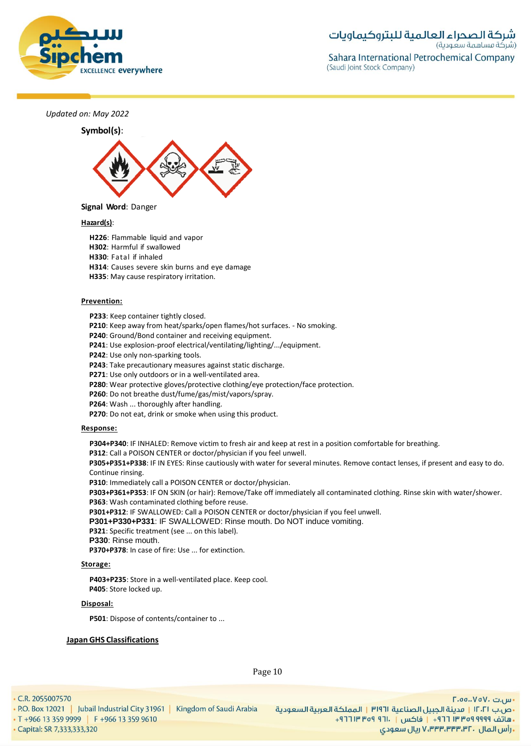



# **Hazard(s)**:

**H226**: Flammable liquid and vapor

**H302**: Harmful if swallowed

**H330**: Fatal if inhaled

**H314**: Causes severe skin burns and eye damage

**H335**: May cause respiratory irritation.

#### **Prevention:**

**P233**: Keep container tightly closed.

**P210**: Keep away from heat/sparks/open flames/hot surfaces. - No smoking.

**P240**: Ground/Bond container and receiving equipment.

**P241**: Use explosion-proof electrical/ventilating/lighting/.../equipment.

**P242**: Use only non-sparking tools.

**P243**: Take precautionary measures against static discharge.

**P271**: Use only outdoors or in a well-ventilated area.

**P280**: Wear protective gloves/protective clothing/eye protection/face protection.

**P260**: Do not breathe dust/fume/gas/mist/vapors/spray.

**P264**: Wash ... thoroughly after handling.

**P270**: Do not eat, drink or smoke when using this product.

#### **Response:**

**P304+P340**: IF INHALED: Remove victim to fresh air and keep at rest in a position comfortable for breathing.

**P312**: Call a POISON CENTER or doctor/physician if you feel unwell.

**P305+P351+P338**: IF IN EYES: Rinse cautiously with water for several minutes. Remove contact lenses, if present and easy to do. Continue rinsing.

**P310**: Immediately call a POISON CENTER or doctor/physician.

**P303+P361+P353**: IF ON SKIN (or hair): Remove/Take off immediately all contaminated clothing. Rinse skin with water/shower. **P363**: Wash contaminated clothing before reuse.

**P301+P312**: IF SWALLOWED: Call a POISON CENTER or doctor/physician if you feel unwell.

**P301+P330+P331**: IF SWALLOWED: Rinse mouth. Do NOT induce vomiting.

**P321**: Specific treatment (see ... on this label).

**P330**: Rinse mouth.

**P370+P378**: In case of fire: Use ... for extinction.

#### **Storage:**

**P403+P235**: Store in a well-ventilated place. Keep cool. **P405**: Store locked up.

#### **Disposal:**

**P501**: Dispose of contents/container to ...

#### **Japan GHS Classifications**

Page 10

 $\cdot$  C.R. 2055007570

Capital: SR 7,333,333,320

• P.O. Box 12021 | Jubail Industrial City 31961 | Kingdom of Saudi Arabia • T +966 13 359 9999 | F +966 13 359 9610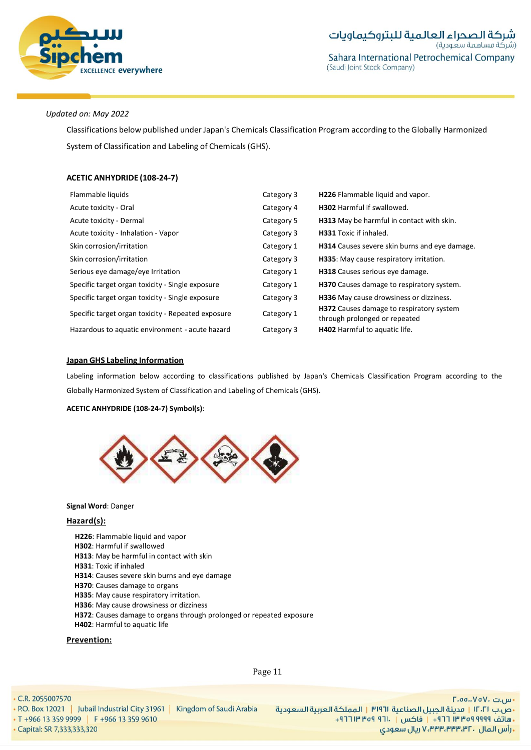

Classifications below published under Japan's Chemicals Classification Program according to the Globally Harmonized System of Classification and Labeling of Chemicals (GHS).

# **ACETIC ANHYDRIDE (108-24-7)**

| Flammable liquids                                  | Category 3 | H226 Flammable liquid and vapor.                                          |
|----------------------------------------------------|------------|---------------------------------------------------------------------------|
| Acute toxicity - Oral                              | Category 4 | <b>H302</b> Harmful if swallowed.                                         |
| Acute toxicity - Dermal                            | Category 5 | H313 May be harmful in contact with skin.                                 |
| Acute toxicity - Inhalation - Vapor                | Category 3 | <b>H331</b> Toxic if inhaled.                                             |
| Skin corrosion/irritation                          | Category 1 | <b>H314</b> Causes severe skin burns and eye damage.                      |
| Skin corrosion/irritation                          | Category 3 | H335: May cause respiratory irritation.                                   |
| Serious eye damage/eye Irritation                  | Category 1 | H318 Causes serious eye damage.                                           |
| Specific target organ toxicity - Single exposure   | Category 1 | H370 Causes damage to respiratory system.                                 |
| Specific target organ toxicity - Single exposure   | Category 3 | <b>H336</b> May cause drowsiness or dizziness.                            |
| Specific target organ toxicity - Repeated exposure | Category 1 | H372 Causes damage to respiratory system<br>through prolonged or repeated |
| Hazardous to aquatic environment - acute hazard    | Category 3 | H402 Harmful to aquatic life.                                             |

#### **Japan GHS Labeling Information**

Labeling information below according to classifications published by Japan's Chemicals Classification Program according to the Globally Harmonized System of Classification and Labeling of Chemicals (GHS).

**ACETIC ANHYDRIDE (108-24-7) Symbol(s)**:

![](_page_10_Picture_9.jpeg)

#### **Signal Word**: Danger

# **Hazard(s):**

**H226**: Flammable liquid and vapor **H302**: Harmful if swallowed **H313**: May be harmful in contact with skin **H331**: Toxic if inhaled **H314**: Causes severe skin burns and eye damage **H370**: Causes damage to organs **H335**: May cause respiratory irritation. **H336**: May cause drowsiness or dizziness **H372**: Causes damage to organs through prolonged or repeated exposure **H402**: Harmful to aquatic life

#### **Prevention:**

Page 11

• C.R. 2055007570

• P.O. Box 12021 | Jubail Industrial City 31961 | Kingdom of Saudi Arabia • T +966 13 359 9999 | F +966 13 359 9610

Capital: SR 7,333,333,320

- س.ت VoV، ت.nu -•ص.ب ١٢٠٢١ | مدينة الجبيل الصناعية ٣١٩٦١ | المملكة العربية السعودية +هاتف ٩٩٩٩ ٩٩٩ ٣٣٣ ٣٣٣ + و فاكس | . ١٣١٢ ٩٣٩ ١٣ ٣٦٩ **. رأس المال ۷٬۳۳۳٬۳۳۳٬۳۲۰ ریال سعودی**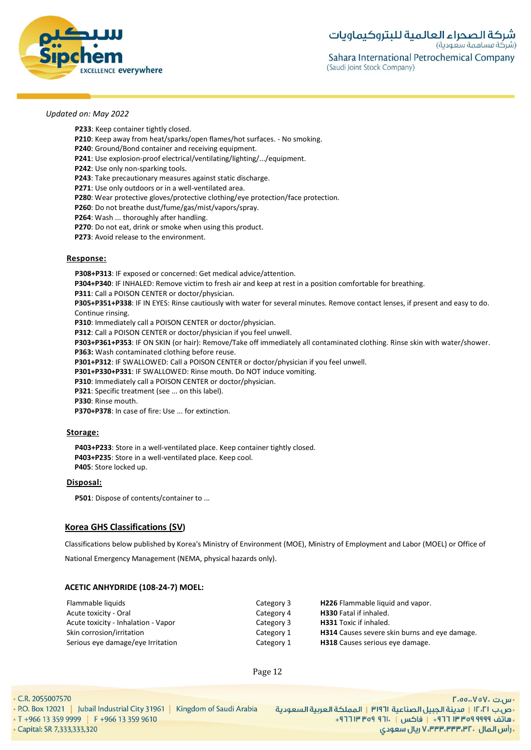![](_page_11_Picture_0.jpeg)

**P233**: Keep container tightly closed.

- **P210**: Keep away from heat/sparks/open flames/hot surfaces. No smoking.
- **P240**: Ground/Bond container and receiving equipment.
- **P241**: Use explosion-proof electrical/ventilating/lighting/.../equipment.
- **P242**: Use only non-sparking tools.
- **P243**: Take precautionary measures against static discharge.
- **P271**: Use only outdoors or in a well-ventilated area.
- **P280**: Wear protective gloves/protective clothing/eye protection/face protection.
- **P260**: Do not breathe dust/fume/gas/mist/vapors/spray.
- **P264**: Wash ... thoroughly after handling.
- **P270**: Do not eat, drink or smoke when using this product.
- **P273**: Avoid release to the environment.

#### **Response:**

**P308+P313**: IF exposed or concerned: Get medical advice/attention. **P304+P340**: IF INHALED: Remove victim to fresh air and keep at rest in a position comfortable for breathing. **P311**: Call a POISON CENTER or doctor/physician. **P305+P351+P338**: IF IN EYES: Rinse cautiously with water for several minutes. Remove contact lenses, if present and easy to do.

Continue rinsing.

**P310**: Immediately call a POISON CENTER or doctor/physician.

**P312**: Call a POISON CENTER or doctor/physician if you feel unwell.

**P303+P361+P353**: IF ON SKIN (or hair): Remove/Take off immediately all contaminated clothing. Rinse skin with water/shower.

**P363:** Wash contaminated clothing before reuse.

**P301+P312**: IF SWALLOWED: Call a POISON CENTER or doctor/physician if you feel unwell.

**P301+P330+P331**: IF SWALLOWED: Rinse mouth. Do NOT induce vomiting.

**P310**: Immediately call a POISON CENTER or doctor/physician.

**P321**: Specific treatment (see ... on this label).

**P330**: Rinse mouth.

**P370+P378**: In case of fire: Use ... for extinction.

#### **Storage:**

**P403+P233**: Store in a well-ventilated place. Keep container tightly closed. **P403+P235**: Store in a well-ventilated place. Keep cool. **P405**: Store locked up.

#### **Disposal:**

**P501**: Dispose of contents/container to ...

#### **Korea GHS Classifications (SV)**

Classifications below published by Korea's Ministry of Environment (MOE), Ministry of Employment and Labor (MOEL) or Office of

National Emergency Management (NEMA, physical hazards only).

#### **ACETIC ANHYDRIDE (108-24-7) MOEL:**

| Flammable liquids                   | Category 3 | <b>H226</b> Flammable liquid and vapor.              |
|-------------------------------------|------------|------------------------------------------------------|
| Acute toxicity - Oral               | Category 4 | <b>H330</b> Fatal if inhaled.                        |
| Acute toxicity - Inhalation - Vapor | Category 3 | <b>H331</b> Toxic if inhaled.                        |
| Skin corrosion/irritation           | Category 1 | <b>H314</b> Causes severe skin burns and eye damage. |
| Serious eye damage/eye Irritation   | Category 1 | <b>H318</b> Causes serious eye damage.               |

Page 12

 $\cdot$  C.R. 2055007570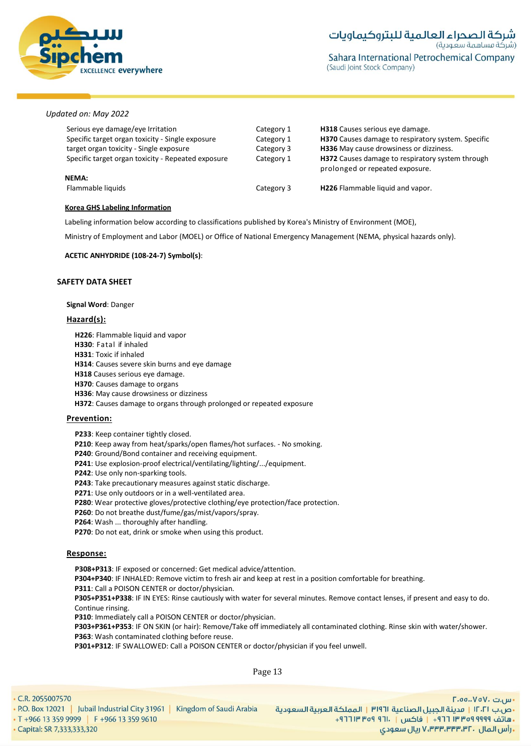![](_page_12_Picture_0.jpeg)

| Serious eye damage/eye Irritation<br>Specific target organ toxicity - Single exposure<br>target organ toxicity - Single exposure<br>Specific target organ toxicity - Repeated exposure | Category 1<br>Category 1<br>Category 3<br>Category 1 | H318 Causes serious eye damage.<br>H370 Causes damage to respiratory system. Specific<br>H336 May cause drowsiness or dizziness.<br><b>H372</b> Causes damage to respiratory system through<br>prolonged or repeated exposure. |
|----------------------------------------------------------------------------------------------------------------------------------------------------------------------------------------|------------------------------------------------------|--------------------------------------------------------------------------------------------------------------------------------------------------------------------------------------------------------------------------------|
| NEMA:<br>Flammable liquids                                                                                                                                                             | Category 3                                           | H226 Flammable liquid and vapor.                                                                                                                                                                                               |

#### **Korea GHS Labeling Information**

Labeling information below according to classifications published by Korea's Ministry of Environment (MOE),

Ministry of Employment and Labor (MOEL) or Office of National Emergency Management (NEMA, physical hazards only).

#### **ACETIC ANHYDRIDE (108-24-7) Symbol(s)**:

#### **SAFETY DATA SHEET**

#### **Signal Word**: Danger

#### **Hazard(s):**

**H226**: Flammable liquid and vapor **H330**: Fatal if inhaled **H331**: Toxic if inhaled **H314**: Causes severe skin burns and eye damage **H318** Causes serious eye damage. **H370**: Causes damage to organs **H336**: May cause drowsiness or dizziness **H372**: Causes damage to organs through prolonged or repeated exposure

#### **Prevention:**

**P233**: Keep container tightly closed.

**P210**: Keep away from heat/sparks/open flames/hot surfaces. - No smoking.

**P240**: Ground/Bond container and receiving equipment.

- **P241**: Use explosion-proof electrical/ventilating/lighting/.../equipment.
- **P242**: Use only non-sparking tools.

**P243**: Take precautionary measures against static discharge.

**P271**: Use only outdoors or in a well-ventilated area.

**P280**: Wear protective gloves/protective clothing/eye protection/face protection.

**P260**: Do not breathe dust/fume/gas/mist/vapors/spray.

**P264**: Wash ... thoroughly after handling.

**P270**: Do not eat, drink or smoke when using this product.

#### **Response:**

**P308+P313**: IF exposed or concerned: Get medical advice/attention. **P304+P340**: IF INHALED: Remove victim to fresh air and keep at rest in a position comfortable for breathing. **P311**: Call a POISON CENTER or doctor/physician. **P305+P351+P338**: IF IN EYES: Rinse cautiously with water for several minutes. Remove contact lenses, if present and easy to do. Continue rinsing. **P310**: Immediately call a POISON CENTER or doctor/physician.

**P303+P361+P353**: IF ON SKIN (or hair): Remove/Take off immediately all contaminated clothing. Rinse skin with water/shower. **P363**: Wash contaminated clothing before reuse.

**P301+P312**: IF SWALLOWED: Call a POISON CENTER or doctor/physician if you feel unwell.

Page 13

• C.R. 2055007570

• P.O. Box 12021 | Jubail Industrial City 31961 | Kingdom of Saudi Arabia • T +966 13 359 9999 | F +966 13 359 9610 Capital: SR 7,333,333,320

- س.ت ۷۵۷٬۰۰۵.D۰۰ •ص.ب ١٢٠٢١ | مدينة الجبيل الصناعية ١٣١٩٦ | المملكة العربية السعودية ـ هاتف ٩٩٩٩ ٩٥٩ ٣٣ ٣٦٦ - إ فاكس | . ١٦٦ ٩٥٩ ١٣ ١٣٦٢ -زارس المال ، ۷٬۳۳۳٬۳۳۳٬۳۲ ریال سعودی V،۳۳۳٬۳۳۳٬۳۲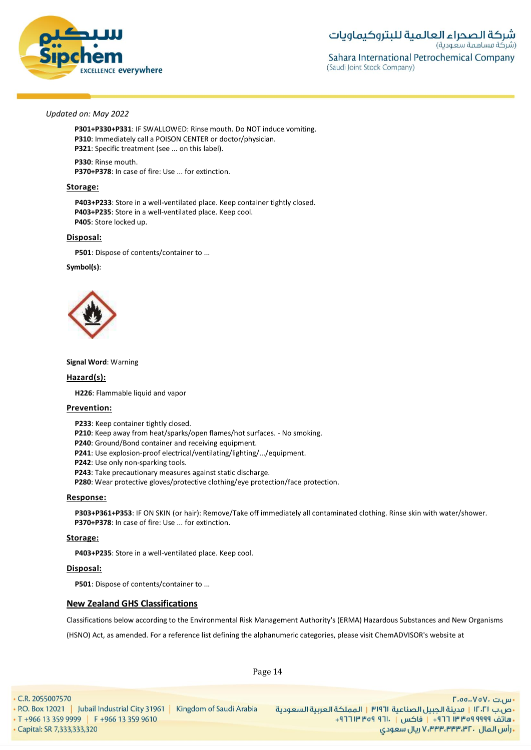![](_page_13_Picture_0.jpeg)

**P301+P330+P331**: IF SWALLOWED: Rinse mouth. Do NOT induce vomiting. **P310**: Immediately call a POISON CENTER or doctor/physician. **P321**: Specific treatment (see ... on this label).

**P330**: Rinse mouth. **P370+P378**: In case of fire: Use ... for extinction.

#### **Storage:**

**P403+P233**: Store in a well-ventilated place. Keep container tightly closed. **P403+P235**: Store in a well-ventilated place. Keep cool. **P405**: Store locked up.

#### **Disposal:**

**P501**: Dispose of contents/container to ...

#### **Symbol(s)**:

![](_page_13_Picture_10.jpeg)

#### **Signal Word**: Warning

**Hazard(s):**

**H226**: Flammable liquid and vapor

#### **Prevention:**

**P233**: Keep container tightly closed.

**P210**: Keep away from heat/sparks/open flames/hot surfaces. - No smoking.

- **P240**: Ground/Bond container and receiving equipment.
- **P241**: Use explosion-proof electrical/ventilating/lighting/.../equipment.

**P242**: Use only non-sparking tools.

**P243**: Take precautionary measures against static discharge.

**P280**: Wear protective gloves/protective clothing/eye protection/face protection.

#### **Response:**

**P303+P361+P353**: IF ON SKIN (or hair): Remove/Take off immediately all contaminated clothing. Rinse skin with water/shower. **P370+P378**: In case of fire: Use ... for extinction.

#### **Storage:**

**P403+P235**: Store in a well-ventilated place. Keep cool.

#### **Disposal:**

**P501**: Dispose of contents/container to ...

#### **New Zealand GHS Classifications**

Classifications below according to the Environmental Risk Management Authority's (ERMA) Hazardous Substances and New Organisms

(HSNO) Act, as amended. For a reference list defining the alphanumeric categories, please visit ChemADVISOR's website at

Page 14

• C.R. 2055007570 - س.ت VoV، ت.nu -• P.O. Box 12021 | Jubail Industrial City 31961 | Kingdom of Saudi Arabia •ص.ب ١٢٠٢١ | مدينة الجبيل الصناعية ١٣١٩٦ | المملكة العربية السعودية • T +966 13 359 9999 | F +966 13 359 9610 ـ هاتف ٩٩٩٩ ٩٥٩ ٣٣ ٢٦٦ - واكس | . ١٦٦ ٩٥٩ ١٣ ٢٦٦ + زارس المال ، ۷٬۳۳۳٬۳۳۳٬۳۲ ریال سعودی V،۳۳۳٬۳۳۳٬۳۲ Capital: SR 7,333,333,320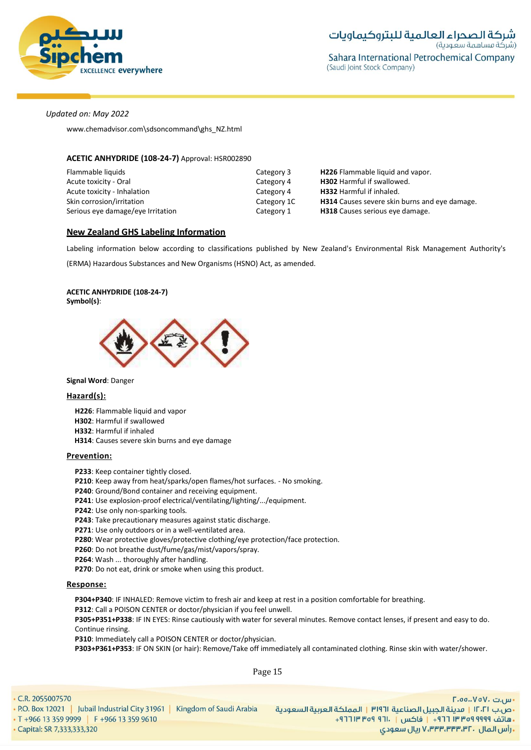![](_page_14_Picture_0.jpeg)

www.chemadvisor.com\sdsoncommand\ghs\_NZ.html

### **ACETIC ANHYDRIDE (108-24-7)** Approval: HSR002890

| Flammable liquids                 | Category 3  | <b>H226</b> Flammable liquid and vapor.              |
|-----------------------------------|-------------|------------------------------------------------------|
| Acute toxicity - Oral             | Category 4  | <b>H302</b> Harmful if swallowed.                    |
| Acute toxicity - Inhalation       | Category 4  | <b>H332</b> Harmful if inhaled.                      |
| Skin corrosion/irritation         | Category 1C | <b>H314</b> Causes severe skin burns and eye damage. |
| Serious eye damage/eye Irritation | Category 1  | <b>H318</b> Causes serious eye damage.               |

# **New Zealand GHS Labeling Information**

Labeling information below according to classifications published by New Zealand's Environmental Risk Management Authority's

(ERMA) Hazardous Substances and New Organisms (HSNO) Act, as amended.

#### **ACETIC ANHYDRIDE (108-24-7) Symbol(s)**:

![](_page_14_Picture_10.jpeg)

#### **Signal Word**: Danger

#### **Hazard(s):**

**H226**: Flammable liquid and vapor **H302**: Harmful if swallowed **H332**: Harmful if inhaled **H314**: Causes severe skin burns and eye damage

#### **Prevention:**

**P233**: Keep container tightly closed.

**P210**: Keep away from heat/sparks/open flames/hot surfaces. - No smoking.

- **P240**: Ground/Bond container and receiving equipment.
- **P241**: Use explosion-proof electrical/ventilating/lighting/.../equipment.
- **P242**: Use only non-sparking tools.

**P243**: Take precautionary measures against static discharge.

**P271**: Use only outdoors or in a well-ventilated area.

- **P280**: Wear protective gloves/protective clothing/eye protection/face protection.
- **P260**: Do not breathe dust/fume/gas/mist/vapors/spray.
- **P264**: Wash ... thoroughly after handling.

**P270**: Do not eat, drink or smoke when using this product.

#### **Response:**

**P304+P340**: IF INHALED: Remove victim to fresh air and keep at rest in a position comfortable for breathing.

**P312**: Call a POISON CENTER or doctor/physician if you feel unwell.

**P305+P351+P338**: IF IN EYES: Rinse cautiously with water for several minutes. Remove contact lenses, if present and easy to do. Continue rinsing.

**P310**: Immediately call a POISON CENTER or doctor/physician.

**P303+P361+P353**: IF ON SKIN (or hair): Remove/Take off immediately all contaminated clothing. Rinse skin with water/shower.

Page 15

• C.R. 2055007570

Capital: SR 7,333,333,320

![](_page_14_Picture_34.jpeg)

- س.ت VoV، ت.nu -•ص.ب ١٢٠٢١ | مدينة الجبيل الصناعية ١٣١٩٦ | المملكة العربية السعودية ـ هاتف ٩٩٩٩ ٩٥٩ ٣٣ ٢٦٦ - واكس | . ١٦٦ ٩٥٩ ١٣ ٢٦٦ + زارس المال ، ۷٬۳۳۳٬۳۳۳٬۳۲ ریال سعودی V،۳۳۳٬۳۳۳٬۳۲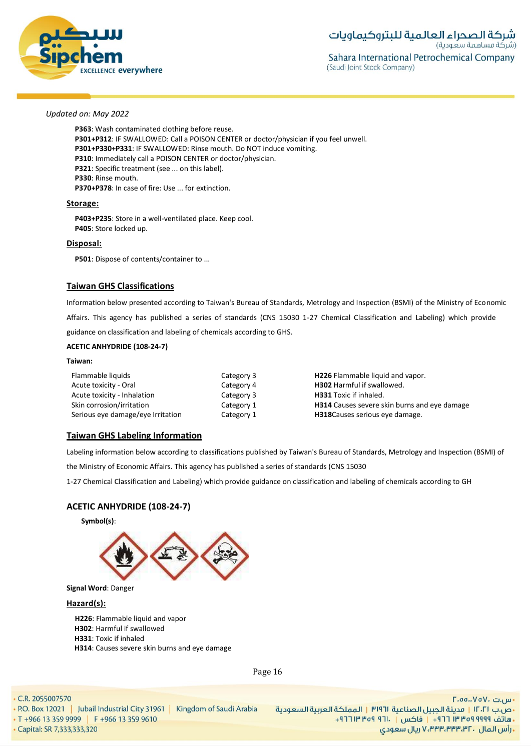![](_page_15_Picture_0.jpeg)

**P363**: Wash contaminated clothing before reuse. **P301+P312**: IF SWALLOWED: Call a POISON CENTER or doctor/physician if you feel unwell. **P301+P330+P331**: IF SWALLOWED: Rinse mouth. Do NOT induce vomiting. **P310**: Immediately call a POISON CENTER or doctor/physician. **P321**: Specific treatment (see ... on this label). **P330**: Rinse mouth. **P370+P378**: In case of fire: Use ... for extinction.

#### **Storage:**

**P403+P235**: Store in a well-ventilated place. Keep cool. **P405**: Store locked up.

#### **Disposal:**

**P501**: Dispose of contents/container to ...

# **Taiwan GHS Classifications**

Information below presented according to Taiwan's Bureau of Standards, Metrology and Inspection (BSMI) of the Ministry of Economic Affairs. This agency has published a series of standards (CNS 15030 1-27 Chemical Classification and Labeling) which provide guidance on classification and labeling of chemicals according to GHS.

### **ACETIC ANHYDRIDE (108-24-7)**

#### **Taiwan:**

| Flammable liquids                 | Category 3 | H226 Flammable liquid and vapor.                    |
|-----------------------------------|------------|-----------------------------------------------------|
| Acute toxicity - Oral             | Category 4 | <b>H302</b> Harmful if swallowed.                   |
| Acute toxicity - Inhalation       | Category 3 | <b>H331</b> Toxic if inhaled.                       |
| Skin corrosion/irritation         | Category 1 | <b>H314</b> Causes severe skin burns and eye damage |
| Serious eye damage/eye Irritation | Category 1 | <b>H318</b> Causes serious eye damage.              |

# **Taiwan GHS Labeling Information**

Labeling information below according to classifications published by Taiwan's Bureau of Standards, Metrology and Inspection (BSMI) of

the Ministry of Economic Affairs. This agency has published a series of standards (CNS 15030

1-27 Chemical Classification and Labeling) which provide guidance on classification and labeling of chemicals according to GH

# **ACETIC ANHYDRIDE (108-24-7)**

![](_page_15_Picture_18.jpeg)

**Signal Word**: Danger

#### **Hazard(s):**

**H226**: Flammable liquid and vapor **H302**: Harmful if swallowed **H331**: Toxic if inhaled **H314**: Causes severe skin burns and eye damage

Page 16

• C.R. 2055007570

• P.O. Box 12021 | Jubail Industrial City 31961 | Kingdom of Saudi Arabia • T +966 13 359 9999 | F +966 13 359 9610

Capital: SR 7,333,333,320

- س.ت VoV، ت.nu -•ص.ب ١٢٠٢١ | مدينة الجبيل الصناعية ١٣١٩٦ | المملكة العربية السعودية ـ هاتف ٩٩٩٩ ٩٥٩ ٣٣ ٢٦٦ - واكس | . ١٦٦ ٩٥٩ ١٣ ٢٦٦ + زارس المال ، ۷٬۳۳۳٬۳۳۳٬۳۲ ریال سعودی V،۳۳۳٬۳۳۳٬۳۲